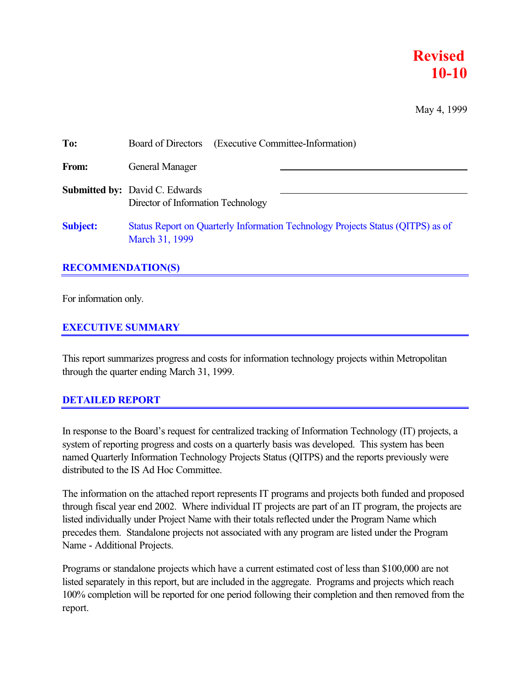### **Revised 10-10**

May 4, 1999

| To:             | (Executive Committee-Information)<br>Board of Directors                                           |
|-----------------|---------------------------------------------------------------------------------------------------|
| From:           | General Manager                                                                                   |
|                 | <b>Submitted by:</b> David C. Edwards<br>Director of Information Technology                       |
| <b>Subject:</b> | Status Report on Quarterly Information Technology Projects Status (QITPS) as of<br>March 31, 1999 |

### **RECOMMENDATION(S)**

For information only.

### **EXECUTIVE SUMMARY**

This report summarizes progress and costs for information technology projects within Metropolitan through the quarter ending March 31, 1999.

### **DETAILED REPORT**

In response to the Board's request for centralized tracking of Information Technology (IT) projects, a system of reporting progress and costs on a quarterly basis was developed. This system has been named Quarterly Information Technology Projects Status (QITPS) and the reports previously were distributed to the IS Ad Hoc Committee.

The information on the attached report represents IT programs and projects both funded and proposed through fiscal year end 2002. Where individual IT projects are part of an IT program, the projects are listed individually under Project Name with their totals reflected under the Program Name which precedes them. Standalone projects not associated with any program are listed under the Program Name - Additional Projects.

Programs or standalone projects which have a current estimated cost of less than \$100,000 are not listed separately in this report, but are included in the aggregate. Programs and projects which reach 100% completion will be reported for one period following their completion and then removed from the report.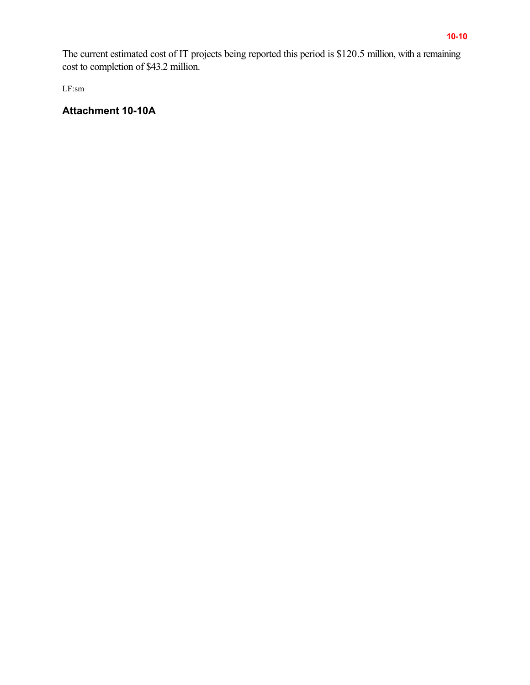The current estimated cost of IT projects being reported this period is \$120.5 million, with a remaining cost to completion of \$43.2 million.

LF:sm

### **Attachment 10-10A**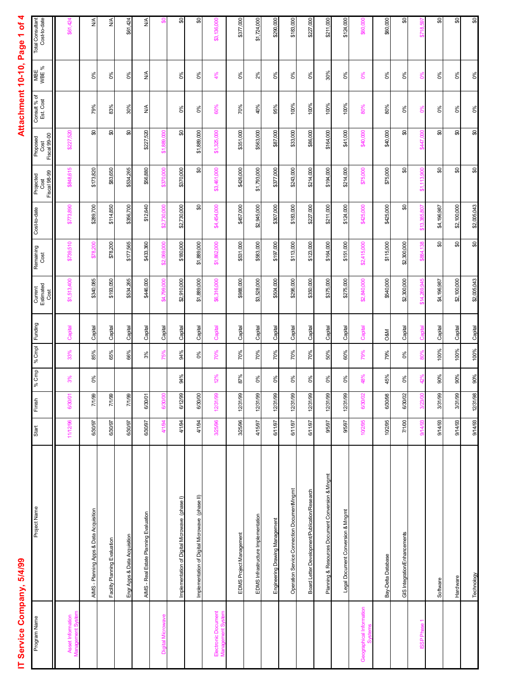### IT Service Company, 5/4/99

# Attachment 10-10, Page 1 of 4 **IT Service Company, 5/4/99 Attachment 10-10, Page 1 of 4**

| Program Name                             | Project Name                                     | Start    | Finish        | % Cmp    | % Cmpl | Funding        | Current<br>Estimated<br>Ğ<br>S | Remaining<br>Cost        | Cost-to-date | <b>Fiscal 98-99</b><br>Projected<br>Cost | Fiscal 99-00<br>Proposed<br>Cost | Consult % of<br>Est. Cost | MBE<br>WBE %            | <b>Total Consultant</b><br>Cost-to-date |
|------------------------------------------|--------------------------------------------------|----------|---------------|----------|--------|----------------|--------------------------------|--------------------------|--------------|------------------------------------------|----------------------------------|---------------------------|-------------------------|-----------------------------------------|
| Asset Information<br>ement Sy<br>Manao   |                                                  | 11/12/96 | 6/30/01       | 3%       | 33%    | Capital        | \$1,513,400                    | \$739,510                | \$773,890    | \$848,615                                | \$227,520                        |                           |                         | \$61,424                                |
|                                          | AIMS - Planning Apps & Data Acquisition          | 6/30/97  | 7/1/99        | 0%       | 85%    | Capital        | \$340,085                      | \$78.200                 | \$289,700    | \$173,820                                | ₷                                | 79%                       | 0%                      | $\frac{4}{2}$                           |
|                                          | Facility Planning Evaluation                     | 6/30/97  | 7/1/99        |          | 65%    | Capital        | \$193,050                      | \$78,200                 | \$114,850    | \$83,650                                 | ₷                                | 83%                       | 0%                      | ≸                                       |
|                                          | Engr Apps & Data Acquisition                     | 6/30/97  | 7/1/99        |          | 66%    | Capital        | \$534,265                      | \$177,565                | \$356,700    | \$534,265                                | ₷                                | 30%                       | 0%                      | \$61,424                                |
|                                          | AIMS - Real Estate Planning Evaluation           | 6/30/97  | 6/30/01       |          | 3%     | Capital        | \$446,000                      | \$433,360                | \$12,640     | \$56,880                                 | \$227,520                        | $\stackrel{\leq}{\geq}$   | $\stackrel{\leq}{\geq}$ | $\stackrel{\leq}{\geq}$                 |
| <b>Digital Microwave</b>                 |                                                  | 4/1/94   | 6/30/         |          | 75%    | Capital        | \$4,799,000                    | \$2,069,000              | \$2.730.000  | \$370,000                                | 889<br>云                         |                           |                         |                                         |
|                                          | Implementation of Digital Microwave (phase I)    | 4/1/94   | 6/12/99       | 94%      | 94%    | Capital        | \$2,910,000                    | \$180,000                | \$2,730,000  | \$370,000                                | ₷                                | $0\%$                     | 0%                      | ₷                                       |
|                                          | Implementation of Digital Microwave (phase II)   | 4/1/94   | 6/30/00       |          | $0\%$  | Capital        | \$1,889,000                    | \$1,889,000              | S            | æ                                        | \$1,889,000                      | 0%                        | 0%                      | S                                       |
| Electronic Document<br>Management System |                                                  | 3/25/96  | 12/31/99      | 12%      | 70%    | Capital        | \$6,316,000                    | \$1,862,000              | \$4,454,000  | \$3,461,000                              | \$1,325,000                      | 60%                       | 4%                      | \$3,136,000                             |
|                                          | EDMS Project Management                          | 3/25/96  | 12/31/99      | 87%      | 70%    | Capital        | \$988,000                      | \$531,000                | \$457,000    | \$426,000                                | \$351,000                        | 70%                       | 0%                      | \$377,000                               |
|                                          | EDMS Infrastructure Implementation               | 4/15/97  | 12/31/99      | 0%       | 70%    | Capital        | \$3,528,000                    | \$583,000                | \$2,945,000  | \$1,793,000                              | \$563,000                        | 40%                       | 2%                      | \$1,724,000                             |
|                                          | Engineering Drawing Management                   | 6/11/97  | 12/31/99      | 0%       | 70%    | Capital        | \$504,000                      | \$197,000                | \$307,000    | \$377,000                                | \$87,000                         | 95%                       | 0%                      | \$290,000                               |
|                                          | Operation Service Connection DocumentMngmt       | 6/11/97  | 12/31/99      | $\delta$ | 70%    | Capital        | \$296,000                      | \$113,000                | \$183,000    | \$243,000                                | \$33,000                         | 100%                      | $\delta$                | \$183,000                               |
|                                          | Board Letter Development/Publication/Research    | 6/11/97  | 12/31/99      | $0\%$    | 70%    | Capital        | \$350,000                      | \$123,000                | \$227,000    | \$214,000                                | \$86,000                         | 100%                      | $0\%$                   | \$227,000                               |
|                                          | Planning & Resources Document Conversion & Mngmt | 9/5/97   | 12/31/99      | 0%       | 50%    | Capital        | \$375,000                      | \$164,000                | \$211,000    | \$194,000                                | \$164,000                        | 100%                      | 30%                     | \$211,000                               |
|                                          | Legal Document Conversion & Mngmt                | 9/5/97   | 12/31/99      | $0\%$    | 60%    | Capital        | \$275,000                      | \$151,000                | \$124,000    | \$214,000                                | \$41,000                         | 100%                      | 0%                      | \$124,000                               |
| Geographical Information<br>ó,           |                                                  | 10/2/95  | 6/30/02       | 48%      | 79%    | Capital        | \$2,840,000                    | \$2,415,000              | \$425,000    | \$75,000                                 | \$40,000                         | 80%                       | 0%                      | \$60,000                                |
|                                          | Bay-Delta Database                               | 10/2/95  | 6/30/98       | 45%      | 79%    | <b>O&amp;M</b> | \$540,000                      | \$115,000                | \$425,000    | \$75,000                                 | \$40,000                         | 80%                       | $0\%$                   | \$60,000                                |
|                                          | GIS Integration/Enhancements                     | 7/1/00   | 6/30/02       | 0%       | 0%     | Capital        | \$2,300,000                    | \$2,300,000              | ଌ            | ₷                                        | ₷                                | 0%                        | 0%                      | ₷                                       |
| <b>ISSP</b> Phase 1                      |                                                  | 9/14/93  | $\frac{3}{2}$ |          | 80%    | Capital        | \$14                           | $\frac{88}{25}$<br>\$884 |              | 800<br>113<br>ಕ                          | \$447.                           | စိ                        | ്റ്                     | \$718.                                  |
|                                          | Software                                         | 9/14/93  | 3/31/99       | 90%      | 100%   | Capital        | \$4,196,987                    | ႙ၟ                       | \$4,196,987  | ႙ၟ                                       | ႙ၟ                               | $0\%$                     | $0\%$                   | æ                                       |
|                                          | Hardware                                         | 9/14/93  | 3/31/99       | 90%      | 100%   | Capital        | \$2,100,000                    | င္တ                      | \$2,100,000  | ႙ၟ                                       | ႙ၟ                               | $0\%$                     | $\delta$                | င္တ                                     |
|                                          | Technology                                       | 9/14/93  | 12/31/98      | $90\%$   | 100%   | Capital        | \$2,005,043                    | S                        | \$2,005,043  | S                                        | æ                                | 0%                        | 0%                      | \$0                                     |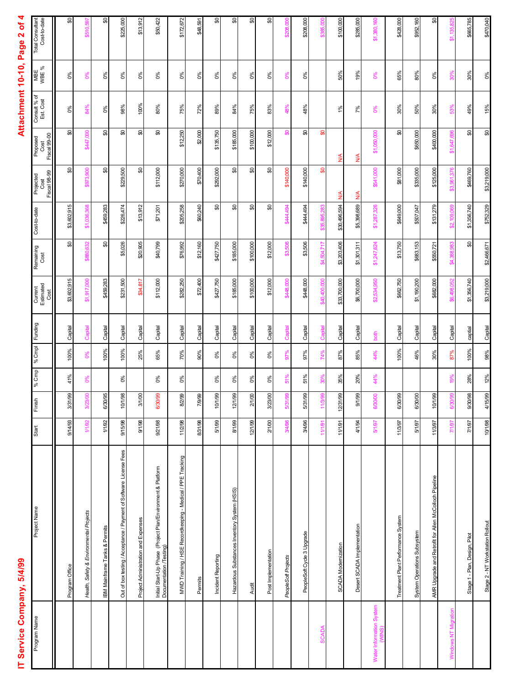# **IT Service Company, 5/4/99 Attachment 10-10, Page 2 of 4** IT Service Company, 5/4/99

### Attachment 10-10, Page 2 of 4

| Program Name             | Project Name                                                                            | Start        | Finish      | % Cmp     | % Cmpl | Funding | Current<br>Estimated<br>Cost | Remaining<br>Cost | Cost-to-date | Projected<br>Cost<br>Fiscal 98-99 | Fiscal 99-00<br>Proposed<br>Cost | Consult % of<br>Est. Cost | MBE<br>WBE %      | Total Consultant<br>Cost-to-date |
|--------------------------|-----------------------------------------------------------------------------------------|--------------|-------------|-----------|--------|---------|------------------------------|-------------------|--------------|-----------------------------------|----------------------------------|---------------------------|-------------------|----------------------------------|
|                          | Program Office                                                                          | 9/14/93      | 3/31/99     | 41%       | 100%   | Capital | \$3,602,915                  | ႙ၟ                | \$3,602,915  | ႙ၟ                                | ႙ၟ                               | $0\%$                     | $0\%$             | S                                |
|                          | Health, Safety & Environmental Projects                                                 | 1/1/92       | 8<br>3/23   | <b>D%</b> | O%     | Capital | \$1,917,000                  | \$880,632         | \$1,036,368  | \$973,900                         | \$447,000                        | 84%                       | 0%                | \$510,597                        |
|                          | <b>IBM Mainframe Tanks &amp; Permits</b>                                                | 1/1/92       | 6/30/95     |           | 100%   | Capital | \$459,283                    | æ                 | \$459,283    | S                                 | S                                | 0%                        | 0%                | æ                                |
|                          | Out of box testing / Acceptance / Payment of Software License Fees                      | 9/15/98      | 10/1/98     | $0\%$     | 100%   | Capital | \$231,500                    | \$5,026           | \$226,474    | \$229,500                         | ₷                                | 98%                       | $0\%$             | \$225,000                        |
|                          | Project Administration and Expenses                                                     | 9/1/98       | 3/1/00      |           | 25%    | Capital | \$34,817                     | \$20,905          | \$13,912     | င္တ                               | ႙ၟ                               | 100%                      | $\delta^{\rm SO}$ | \$13,912                         |
|                          | Initial Start-Up Phase  (Project Plan/Environment & Platform<br>Documentation /Testing) | 9/21/98      | 6/30/99     | $0\%$     | 65%    | Capital | \$112,000                    | \$40,799          | \$71,201     | \$112,000                         | ႙ၟ                               | 80%                       | $0\%$             | \$50,422                         |
|                          | MWD Training / HSE Recordkeeping - Medical / PPE Tracking                               | 11/2/98      | 8/2/99      | $0\%$     | 70%    | Capital | \$282,250                    | \$76,992          | \$205,258    | \$270,000                         | \$12,250                         | 75%                       | 0%                | \$172,672                        |
|                          | Permits                                                                                 | 8/31/98      | 7/9/99      |           | 90%    | Capital | \$72,400                     | \$12,160          | \$60,240     | \$70,400                          | \$2,000                          | 72%                       | $0\%$             | \$48,591                         |
|                          | Incident Reporting                                                                      | 5/1/99       | 10/1/99     | $0\%$     | $0\%$  | Capital | \$427,750                    | \$427,750         | æ            | \$292,000                         | \$135,750                        | 89%                       | $\delta^{\rm SO}$ | æ                                |
|                          | Hazardous Substances Inventory System (HSIS)                                            | 8/1/99       | 12/1/99     | ಠಿಂ       | $0\%$  | Capital | \$185,000                    | \$185,000         | 8            | င္တ                               | \$185,000                        | 84%                       | ಠಿಂ               | æ                                |
|                          | Audit                                                                                   | 12/1/99      | 2/1/00      | $0\%$     | $0\%$  | Capital | \$100,000                    | \$100,000         | ₷            | S                                 | \$100,000                        | 75%                       | $0\%$             | င္တ                              |
|                          | Post Implementation                                                                     | 2/1/00       | 3/23/00     | $0\%$     | $0\%$  | Capital | \$12,000                     | \$12,000          | ႙ၟ           | ₷                                 | \$12,000                         | 83%                       | $0\%$             | င္တ                              |
|                          | PeopleSoft Projects                                                                     | 3/4/96       | g<br>5/31/9 | 51%       | 67%    | Capital | \$448,000                    | \$3,506           | 8444,494     | \$140,000                         | ႙ၟ                               | 48%                       | <b>Del</b>        | \$208.000                        |
|                          | PeopleSoft Cycle 3 Upgrade                                                              | 3/4/96       | 5/31/99     | 51%       | 97%    | Capital | \$448,000                    | \$3,506           | 8444,494     | \$140,000                         | င္တ                              | 48%                       | $0\%$             | \$208,000                        |
| <b>SCADA</b>             |                                                                                         | 11/1/91      | 11/3        |           | 74%    | Capital | \$40,400                     | 504,717<br>क्र    |              | န္တ                               | န္တ                              |                           |                   |                                  |
|                          | SCADA Modernization                                                                     | 11/1/91      | 12/31/99    | 35%       | 87%    | Capital | \$33,700,000                 | \$3,203,406       | \$30,496,594 | ≸                                 | $\frac{4}{2}$                    | $1\%$                     | 50%               | \$100,000                        |
|                          | Desert SCADA Implementation                                                             | 4/1/94       | 9/1/99      | 20%       | 85%    | Capital | \$6,700,000                  | \$1,301,311       | \$5,398,689  | $\frac{4}{2}$                     | $\frac{4}{2}$                    | 7%                        | 19%               | \$285,000                        |
| Water Information System |                                                                                         | <b>Z6/L2</b> | 6/30/00     | 44%       | 44%    | both    | \$2,534,950                  | \$1,247,624       | \$1,287,326  | \$541,000                         | \$1,050,000                      | O%                        | 0%                | \$1,380,160                      |
|                          | Treatment Plant Performance System                                                      | 11/3/97      | 6/30/99     |           | 100%   | Capital | \$662,750                    | \$13,750          | \$649,000    | \$81,000                          | ₷                                | 30%                       | 65%               | \$428,000                        |
|                          | System Operations Subsystem                                                             | 5/1/97       | 6/30/00     |           | 46%    | Capital | \$1,190,200                  | \$683,153         | \$507,047    | \$335,000                         | \$650,000                        | 50%                       | 80%               | \$952,160                        |
|                          | AMR Upgrade and Retrofit for Allen McColloch Pipeline                                   | 11/3/97      | 10/1/99     |           | 30%    | Capital | \$682,000                    | \$550,721         | \$131,279    | \$125,000                         | \$400,000                        | 30%                       | $0\%$             | င္တ                              |
| Windows NT Migration     |                                                                                         | 7/1/97       | g<br>6/30   | ă         | 87%    | Capital | 498<br>န္တ                   | क्षं              | \$2,109,     | \$3,961,376                       | \$1.647                          | 53%                       | 30%               | \$1,135,                         |
|                          | Stage 1 - Plan, Design, Pilot                                                           | 7/1/97       | 9/30/98     | 28%       | 100%   | captial | \$1,356,740                  | ₷                 | \$1,356,740  | \$469,760                         | ₷                                | 49%                       | 30%               | \$665,785                        |
|                          | Stage 2 - NT Workstation Rollout                                                        | 10/1/98      | 4/15/99     | 12%       | 98%    | Capital | \$3,219,000                  | \$2,466,671       | \$752,329    | \$3,219,000                       | \$                               | 15%                       | $0\%$             | \$470,040                        |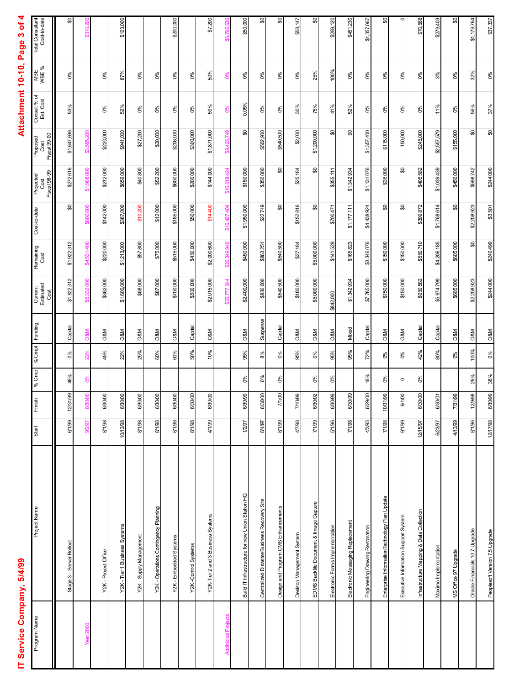### IT Service Company, 5/4/99

# Attachment 10-10, Page 3 of 4 **IT Service Company, 5/4/99 Attachment 10-10, Page 3 of 4**

| Program Name               | Project Name                                     | Start    | Finish      | % Cmp         | % Cmpl | Funding        | Current<br>Estimated<br>Cost | Remaining<br>Cost | Cost-to-date     | Fiscal 98-99<br>Projected<br>Cost | <b>Fiscal 99-00</b><br>Proposed<br>Cost | Consult % of<br>Est. Cost | MBE<br>WBE % | Total Consultant<br>Cost-to-date |
|----------------------------|--------------------------------------------------|----------|-------------|---------------|--------|----------------|------------------------------|-------------------|------------------|-----------------------------------|-----------------------------------------|---------------------------|--------------|----------------------------------|
|                            | Stage 3 - Server Rollout                         | 6/1/99   | 12/31/99    | 46%           | $0\%$  | Capital        | \$1,922,312                  | \$1,922,312       | ႙ၟ               | \$272,616                         | \$1,647,696                             | 53%                       | $0\%$        | æ                                |
| <b>Year 2000</b>           |                                                  | 9/2/97   | Š<br>6/30/C | $\frac{8}{6}$ | 22%    | <b>O&amp;M</b> | \$5,332,000                  | \$4,531,400       | \$800,600        | \$1,908,000                       | 200<br>595.<br>ඝ                        |                           |              | \$310.200                        |
|                            | Y2K - Project Office                             | 8/1/98   | 6/30/00     |               | 45%    | <b>O&amp;M</b> | \$362,000                    | \$220,000         | \$142,000        | \$212,000                         | \$220,000                               | $0\%$                     | $0\%$        |                                  |
|                            | Y2K - Tier 1 Business Systems                    | 10/13/98 | 6/30/00     |               | 22%    | <b>O&amp;M</b> | \$1,600,000                  | \$1,213,000       | \$387,000        | \$659,000                         | \$941,000                               | 52%                       | 87%          | \$103,000                        |
|                            | Y2K - Supply Management                          | 8/1/98   | 6/30/00     |               | 25%    | <b>O&amp;M</b> | \$68,000                     | \$57,800          | \$10,200         | \$40,800                          | \$27,200                                | 0%                        | 0%           |                                  |
|                            | Y2K - Operations Contingency Planning            | 8/1/98   | 6/30/00     |               | 60%    | <b>D&amp;M</b> | \$87,000                     | \$75,000          | \$12,000         | \$52,200                          | \$30,000                                | $0\%$                     | $0\%$        |                                  |
|                            | Y2K - Embedded Systems                           | 8/1/98   | 6/30/00     |               | 60%    | <b>O&amp;M</b> | \$700,000                    | \$515,000         | \$185,000        | \$600,000                         | \$206,000                               | $0\%$                     | $0\%$        | \$200,000                        |
|                            | Y2K-Control Systems                              | 8/1/98   | 6/30/00     |               | 50%    | Capital        | \$500,000                    | \$450,000         | \$50,000         | \$200,000                         | \$300,000                               | $0\%$                     | $0\%$        |                                  |
|                            | Y2K-Tier 2 and 3 Business Systems                | 4/1/99   | 6/30/00     |               | 10%    | <b>O&amp;M</b> | \$2,015,000                  | \$2,000,600       | \$14,400         | \$144,000                         | \$1,871,000                             | 59%                       | 50%          | \$7,200                          |
| <b>Additional Projects</b> |                                                  |          |             |               |        |                | $\mathcal{F}$<br>\$35,       | San<br>349        | 404<br>\$15,427, | \$10.018                          | 423<br>ę,                               | ဲ့                        | ဲ့           | 792,636<br>ඝ                     |
|                            | Build IT Infrastructure for new Union Station HQ | 1/2/97   | 6/30/99     | 0%            | 95%    | <b>O&amp;M</b> | \$2,400,000                  | \$450,000         | \$1,950,000      | \$150,000                         | ₷                                       | 0.05%                     | $0\%$        | \$50,000                         |
|                            | Centralized Disaster/Business Recovery Site      | 8/4/97   | 6/30/00     | 0%            | 8%     | Suspense       | \$886,000                    | \$863,251         | \$22,749         | \$350,000                         | \$502,900                               | 0%                        | 0%           | င္တ                              |
|                            | Design and Program CMS Enhancements              | 8/1/99   | 7/1/00      | $0\%$         | $0\%$  | Capital        | \$540,500                    | \$540,500         | ₷                | ႙ၟ                                | \$540,500                               | $0\%$                     | 0%           | \$                               |
|                            | Desktop Management System                        | 4/7/98   | 7/10/99     |               | 95%    | <b>O&amp;M</b> | \$180,000                    | \$27,184          | \$152,816        | \$25,184                          | \$2,000                                 | 30%                       | 0%           | \$58,147                         |
|                            | EDMS Backfile Document & Image Capture           | 7/1/99   | 6/30/02     | 0%            | 0%     | <b>O&amp;M</b> | \$5,000,000                  | \$5,000,000       | ₷                | ₷                                 | \$1,200,000                             | 75%                       | 25%          | ଌ                                |
|                            | Electronic Forms Implementation                  | 5/1/96   | 6/30/99     | $0\%$         | 95%    | <b>O&amp;M</b> | \$842,000                    | \$141,529         | \$700,471        | \$355,111                         | 8                                       | 41%                       | 100%         | \$289,120                        |
|                            | Electronic Messaging Replacement                 | 7/1/98   | 6/30/99     |               | 95%    | Mixed          | \$1,342,934                  | \$165,823         | \$1,177,111      | \$1,342,934                       | ₷                                       | 52%                       | 0%           | \$451,230                        |
|                            | Engineering Drawing Restoration                  | 4/3/95   | 6/29/00     | 16%           | 72%    | Capital        | \$7,785,000                  | \$3,346,076       | \$4,438,924      | \$1,131,076                       | \$1,357,400                             | 0%                        | 0%           | \$1,357,067                      |
|                            | Enterprise InformationTechnology Plan Update     | 7/1/98   | 10/31/99    | 0%            | 0%     | <b>O&amp;M</b> | \$150,000                    | \$150,000         | ႙ၟ               | \$35,000                          | \$115,000                               | $0\%$                     | $0\%$        | ₷                                |
|                            | Executive Information Support System             | 9/1/99   | 6/1/00      | $\circ$       | 0%     | <b>O&amp;M</b> | \$150,000                    | \$150,000         | ₷                | ₷                                 | 150,000                                 | 0%                        | 0%           | $\circ$                          |
|                            | Infrastructure Mapping & Data Collection         | 12/15/97 | 6/30/00     | 0%            | 42%    | Capital        | \$950,582                    | \$550,710         | \$399,872        | \$405,582                         | \$245,000                               | 0%                        | 0%           | \$70,568                         |
|                            | Maximo Implementation                            | 6/23/97  | 6/30/01     |               | 80%    | Capital        | \$5,974,799                  | \$4,206,185       | \$1,768,614      | \$1,039,439                       | \$2,557,579                             | 11%                       | 3%           | \$279,403                        |
|                            | MS Office 97 Upgrade                             | 4/13/99  | 7/31/99     |               | $0\%$  | <b>O&amp;M</b> | \$605,000                    | \$605,000         | æ                | \$450,000                         | \$155,000                               | $0\%$                     | $0\%$        | \$0\$                            |
|                            | Oracle Financials 10.7 Upgrade                   | 8/1/96   | 12/9/98     | 26%           | 100%   | <b>O&amp;M</b> | \$2,208,923                  | ₷                 | \$2,208,923      | \$598,742                         | ₷                                       | 56%                       | 32%          | \$1,179,764                      |
|                            | Peoplesoft Version 7.5 Upgrade                   | 12/17/98 | 6/30/99     | 38%           | 0%     | <b>O&amp;M</b> | \$244,000                    | \$240,499         | \$3,501          | \$244,000                         | æ                                       | 37%                       | 0%           | \$37,337                         |